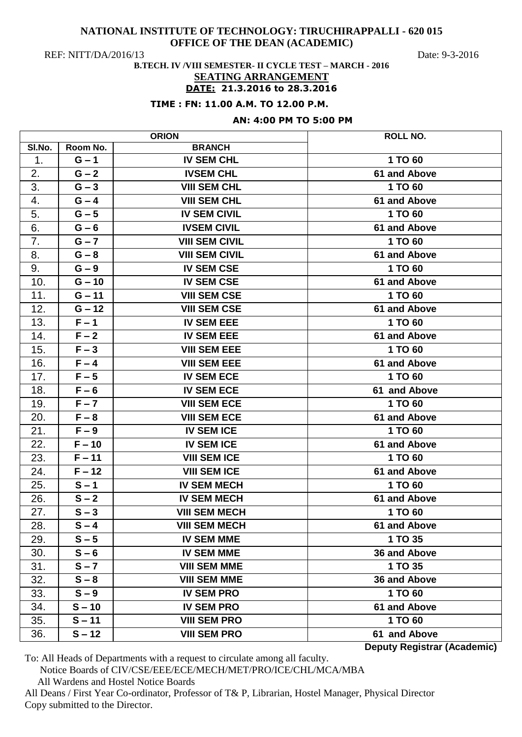REF: NITT/DA/2016/13 Date: 9-3-2016

# **B.TECH. IV /VIII SEMESTER- II CYCLE TEST – MARCH - 2016 SEATING ARRANGEMENT**

# **DATE: 21.3.2016 to 28.3.2016**

## **TIME : FN: 11.00 A.M. TO 12.00 P.M.**

# **AN: 4:00 PM TO 5:00 PM**

|                  |                  | <b>ORION</b>          | ROLL NO.                           |
|------------------|------------------|-----------------------|------------------------------------|
| SI.No.           | Room No.         | <b>BRANCH</b>         |                                    |
| 1.               | $G - 1$          | <b>IV SEM CHL</b>     | 1 TO 60                            |
| 2.               | $G - 2$          | <b>IVSEM CHL</b>      | 61 and Above                       |
| $\overline{3}$ . | $G - 3$          | <b>VIII SEM CHL</b>   | 1 TO 60                            |
| 4.               | $G - 4$          | <b>VIII SEM CHL</b>   | 61 and Above                       |
| 5.               | $G - 5$          | <b>IV SEM CIVIL</b>   | 1 TO 60                            |
| 6.               | $G - 6$          | <b>IVSEM CIVIL</b>    | 61 and Above                       |
| 7.               | $G - 7$          | <b>VIII SEM CIVIL</b> | 1 TO 60                            |
| 8.               | $G - 8$          | <b>VIII SEM CIVIL</b> | 61 and Above                       |
| 9.               | $G - 9$          | <b>IV SEM CSE</b>     | 1 TO 60                            |
| 10.              | $G - 10$         | <b>IV SEM CSE</b>     | 61 and Above                       |
| 11.              | $G - 11$         | <b>VIII SEM CSE</b>   | 1 TO 60                            |
| 12.              | $G - 12$         | <b>VIII SEM CSE</b>   | 61 and Above                       |
| 13.              | $F - 1$          | <b>IV SEM EEE</b>     | 1 TO 60                            |
| 14.              | $F - 2$          | <b>IV SEM EEE</b>     | 61 and Above                       |
| 15.              | $F - 3$          | <b>VIII SEM EEE</b>   | 1 TO 60                            |
| 16.              | $F - 4$          | <b>VIII SEM EEE</b>   | 61 and Above                       |
| 17.              | $F - 5$          | <b>IV SEM ECE</b>     | 1 TO 60                            |
| 18.              | $F - 6$          | <b>IV SEM ECE</b>     | 61 and Above                       |
| 19.              | $F - 7$          | <b>VIII SEM ECE</b>   | 1 TO 60                            |
| 20.              | $F - 8$          | <b>VIII SEM ECE</b>   | 61 and Above                       |
| 21.              | $F - 9$          | <b>IV SEM ICE</b>     | 1 TO 60                            |
| 22.              | $F - 10$         | <b>IV SEM ICE</b>     | 61 and Above                       |
| 23.              | $F - 11$         | <b>VIII SEM ICE</b>   | 1 TO 60                            |
| 24.              | $F - 12$         | <b>VIII SEM ICE</b>   | 61 and Above                       |
| 25.              | $S - 1$          | <b>IV SEM MECH</b>    | 1 TO 60                            |
| 26.              | $S - 2$          | <b>IV SEM MECH</b>    | 61 and Above                       |
| 27.              | $S - 3$          | <b>VIII SEM MECH</b>  | 1 TO 60                            |
| 28.              | $\overline{S}-4$ | <b>VIII SEM MECH</b>  | 61 and Above                       |
| 29.              | $S - 5$          | <b>IV SEM MME</b>     | 1 TO 35                            |
| 30.              | $S - 6$          | <b>IV SEM MME</b>     | 36 and Above                       |
| 31.              | $S - 7$          | <b>VIII SEM MME</b>   | 1 TO 35                            |
| 32.              | $S - 8$          | <b>VIII SEM MME</b>   | 36 and Above                       |
| 33.              | $S - 9$          | <b>IV SEM PRO</b>     | 1 TO 60                            |
| 34.              | $S - 10$         | <b>IV SEM PRO</b>     | 61 and Above                       |
| 35.              | $S - 11$         | <b>VIII SEM PRO</b>   | 1 TO 60                            |
| 36.              | $S - 12$         | <b>VIII SEM PRO</b>   | 61 and Above                       |
|                  |                  |                       | <b>Deputy Registrar (Academic)</b> |

To: All Heads of Departments with a request to circulate among all faculty.

Notice Boards of CIV/CSE/EEE/ECE/MECH/MET/PRO/ICE/CHL/MCA/MBA

All Wardens and Hostel Notice Boards

All Deans / First Year Co-ordinator, Professor of T& P, Librarian, Hostel Manager, Physical Director Copy submitted to the Director.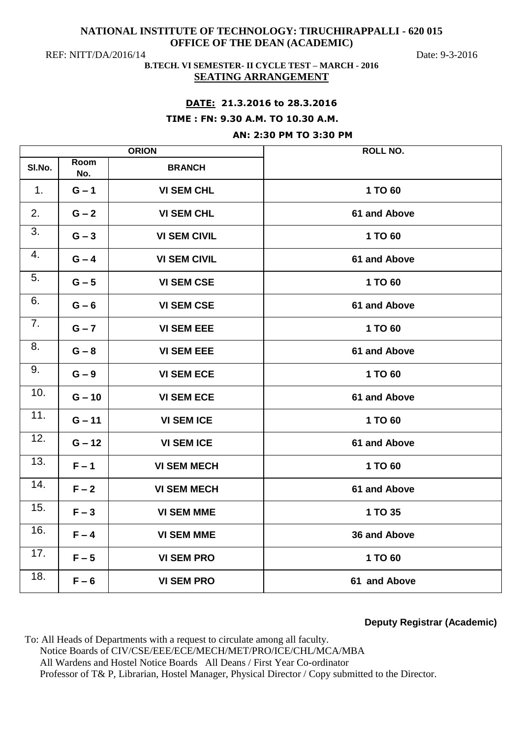REF: NITT/DA/2016/14 Date: 9-3-2016

## **B.TECH. VI SEMESTER- II CYCLE TEST – MARCH - 2016 SEATING ARRANGEMENT**

# **DATE: 21.3.2016 to 28.3.2016**

### **TIME : FN: 9.30 A.M. TO 10.30 A.M.**

# **AN: 2:30 PM TO 3:30 PM**

| <b>ORION</b>   |             |                     | <b>ROLL NO.</b>     |
|----------------|-------------|---------------------|---------------------|
| SI.No.         | Room<br>No. | <b>BRANCH</b>       |                     |
| 1 <sub>1</sub> | $G - 1$     | <b>VI SEM CHL</b>   | 1 TO 60             |
| 2.             | $G - 2$     | <b>VI SEM CHL</b>   | 61 and Above        |
| 3.             | $G - 3$     | <b>VI SEM CIVIL</b> | 1 TO 60             |
| 4.             | $G - 4$     | <b>VI SEM CIVIL</b> | <b>61 and Above</b> |
| 5.             | $G - 5$     | <b>VI SEM CSE</b>   | 1 TO 60             |
| 6.             | $G - 6$     | <b>VI SEM CSE</b>   | 61 and Above        |
| 7.             | $G - 7$     | <b>VI SEM EEE</b>   | 1 TO 60             |
| 8.             | $G - 8$     | <b>VI SEM EEE</b>   | <b>61 and Above</b> |
| 9.             | $G - 9$     | <b>VI SEM ECE</b>   | 1 TO 60             |
| 10.            | $G - 10$    | <b>VI SEM ECE</b>   | <b>61 and Above</b> |
| 11.            | $G - 11$    | <b>VI SEM ICE</b>   | 1 TO 60             |
| 12.            | $G - 12$    | <b>VI SEM ICE</b>   | 61 and Above        |
| 13.            | $F - 1$     | <b>VI SEM MECH</b>  | 1 TO 60             |
| 14.            | $F - 2$     | <b>VI SEM MECH</b>  | 61 and Above        |
| 15.            | $F - 3$     | <b>VI SEM MME</b>   | 1 TO 35             |
| 16.            | $F - 4$     | <b>VI SEM MME</b>   | 36 and Above        |
| 17.            | $F - 5$     | <b>VI SEM PRO</b>   | 1 TO 60             |
| 18.            | $F - 6$     | <b>VI SEM PRO</b>   | 61 and Above        |

# **Deputy Registrar (Academic)**

To: All Heads of Departments with a request to circulate among all faculty. Notice Boards of CIV/CSE/EEE/ECE/MECH/MET/PRO/ICE/CHL/MCA/MBA All Wardens and Hostel Notice Boards All Deans / First Year Co-ordinator Professor of T& P, Librarian, Hostel Manager, Physical Director / Copy submitted to the Director.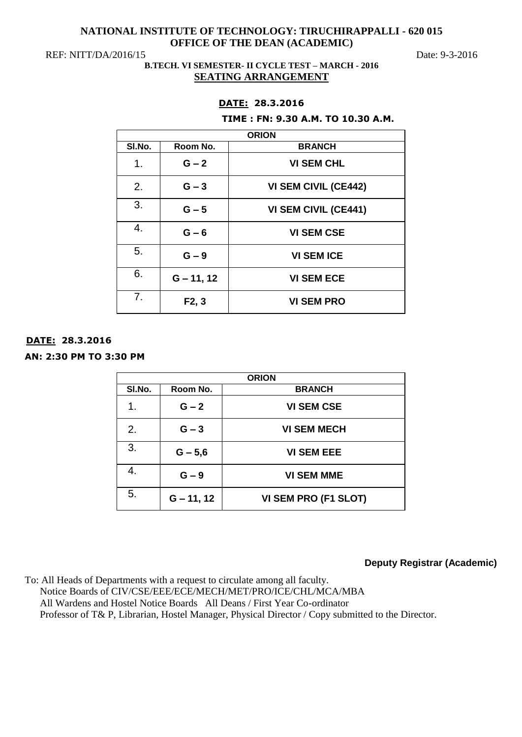REF: NITT/DA/2016/15 Date: 9-3-2016

# **B.TECH. VI SEMESTER- II CYCLE TEST – MARCH - 2016 SEATING ARRANGEMENT**

# **DATE: 28.3.2016**

### **TIME : FN: 9.30 A.M. TO 10.30 A.M.**

| SI.No.         | Room No.     | <b>BRANCH</b>               |
|----------------|--------------|-----------------------------|
| 1.             | $G - 2$      | <b>VI SEM CHL</b>           |
| 2.             | $G - 3$      | <b>VI SEM CIVIL (CE442)</b> |
| 3.             | $G - 5$      | <b>VI SEM CIVIL (CE441)</b> |
| 4.             | $G - 6$      | <b>VI SEM CSE</b>           |
| 5.             | $G - 9$      | <b>VI SEM ICE</b>           |
| 6.             | $G - 11, 12$ | <b>VI SEM ECE</b>           |
| 7 <sub>1</sub> | F2, 3        | <b>VI SEM PRO</b>           |

# **DATE: 28.3.2016**

**AN: 2:30 PM TO 3:30 PM** 

| <b>ORION</b> |              |                      |
|--------------|--------------|----------------------|
| SI.No.       | Room No.     | <b>BRANCH</b>        |
| 1.           | $G - 2$      | <b>VI SEM CSE</b>    |
| 2.           | $G - 3$      | <b>VI SEM MECH</b>   |
| 3.           | $G - 5,6$    | <b>VI SEM EEE</b>    |
| 4.           | $G - 9$      | <b>VI SEM MME</b>    |
| 5.           | $G - 11, 12$ | VI SEM PRO (F1 SLOT) |

# **Deputy Registrar (Academic)**

To: All Heads of Departments with a request to circulate among all faculty. Notice Boards of CIV/CSE/EEE/ECE/MECH/MET/PRO/ICE/CHL/MCA/MBA All Wardens and Hostel Notice Boards All Deans / First Year Co-ordinator Professor of T& P, Librarian, Hostel Manager, Physical Director / Copy submitted to the Director.